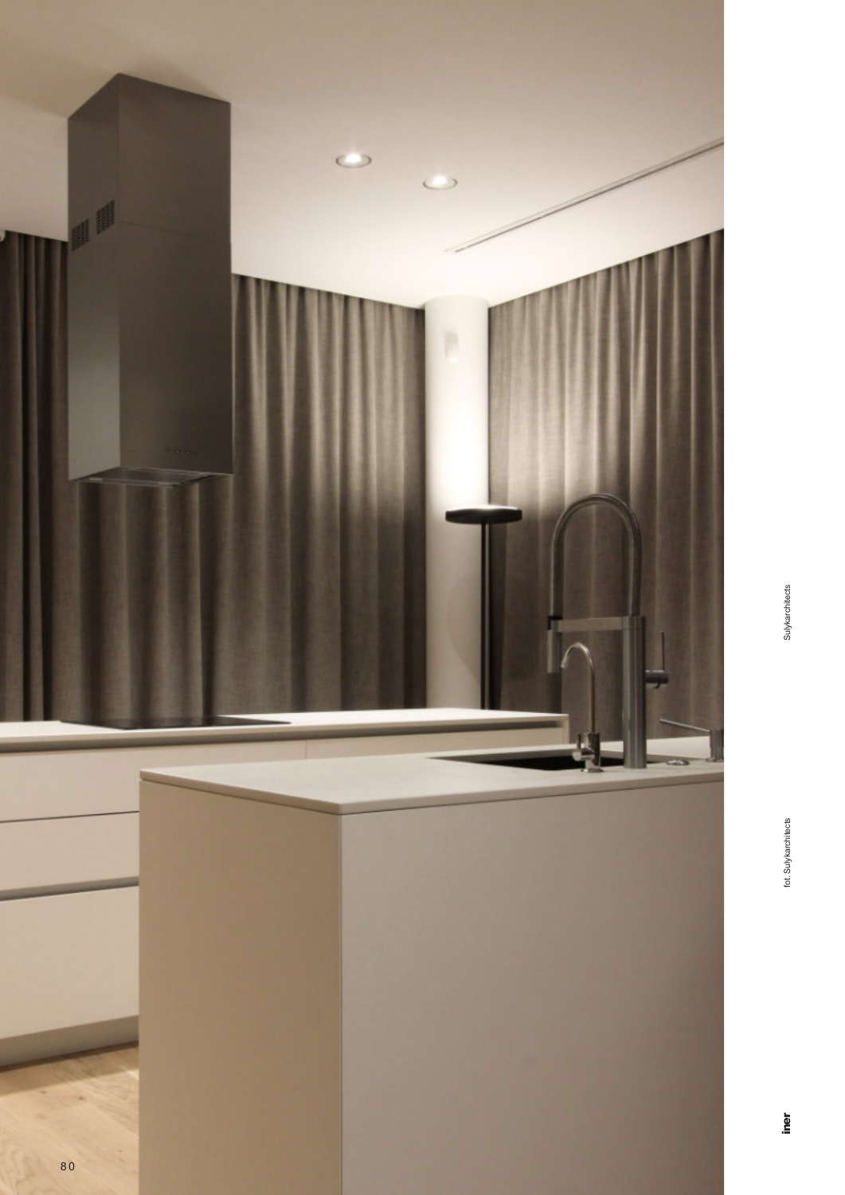

Sulykarchitects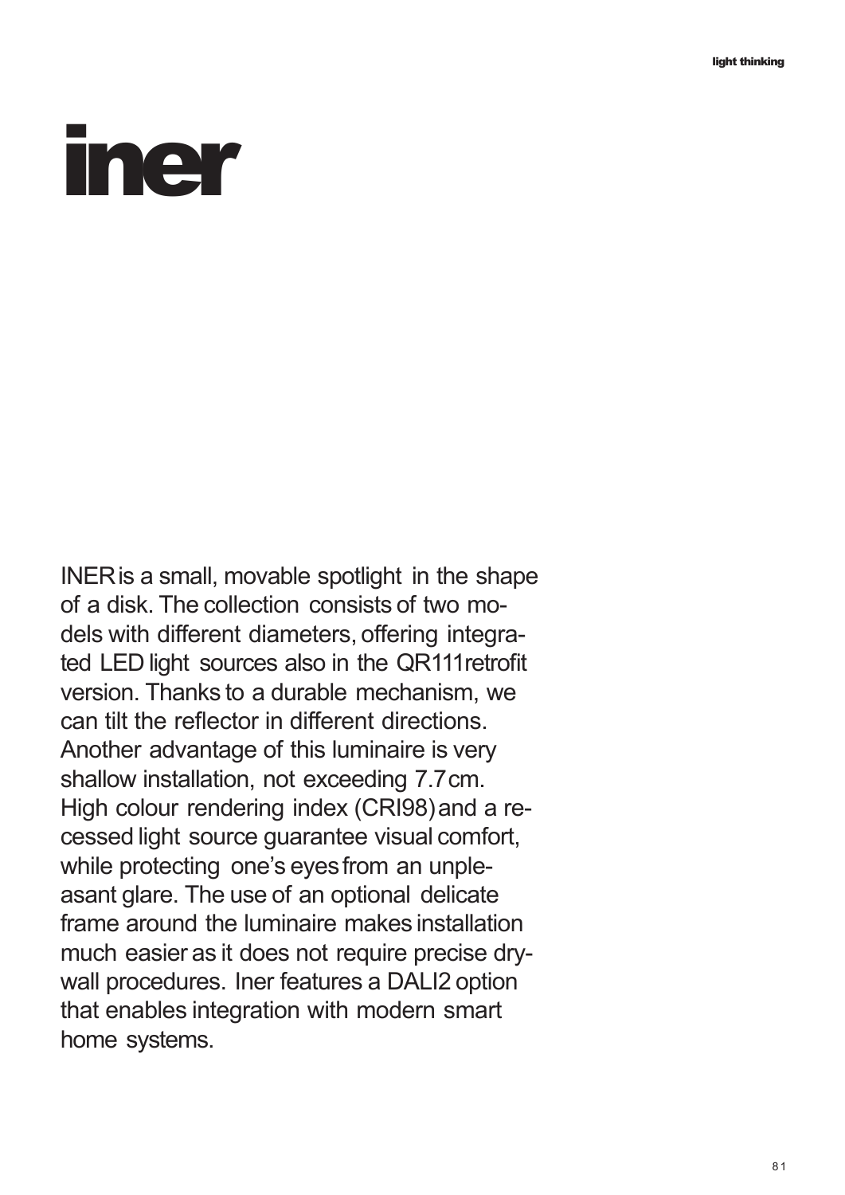## **iner**

INERis a small, movable spotlight in the shape of a disk. The collection consists of two models with different diameters, offering integrated LED light sources also in the QR111retrofit version. Thanks to a durable mechanism, we can tilt the reflector in different directions. Another advantage of this luminaire is very shallow installation, not exceeding 7.7cm. High colour rendering index (CRI98)and a recessed light source guarantee visual comfort, while protecting one's eyesfrom an unpleasant glare. The use of an optional delicate frame around the luminaire makes installation much easier as it does not require precise drywall procedures. Iner features a DALI2 option that enables integration with modern smart home systems.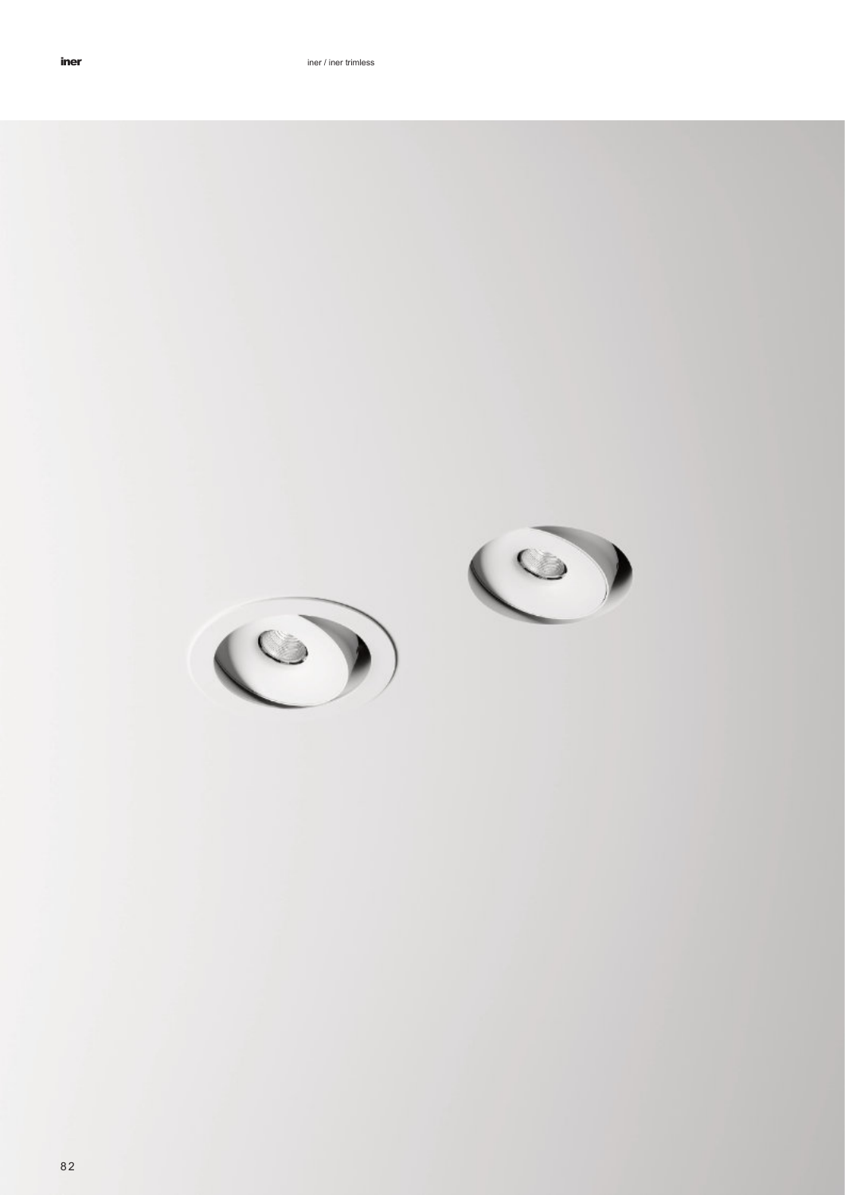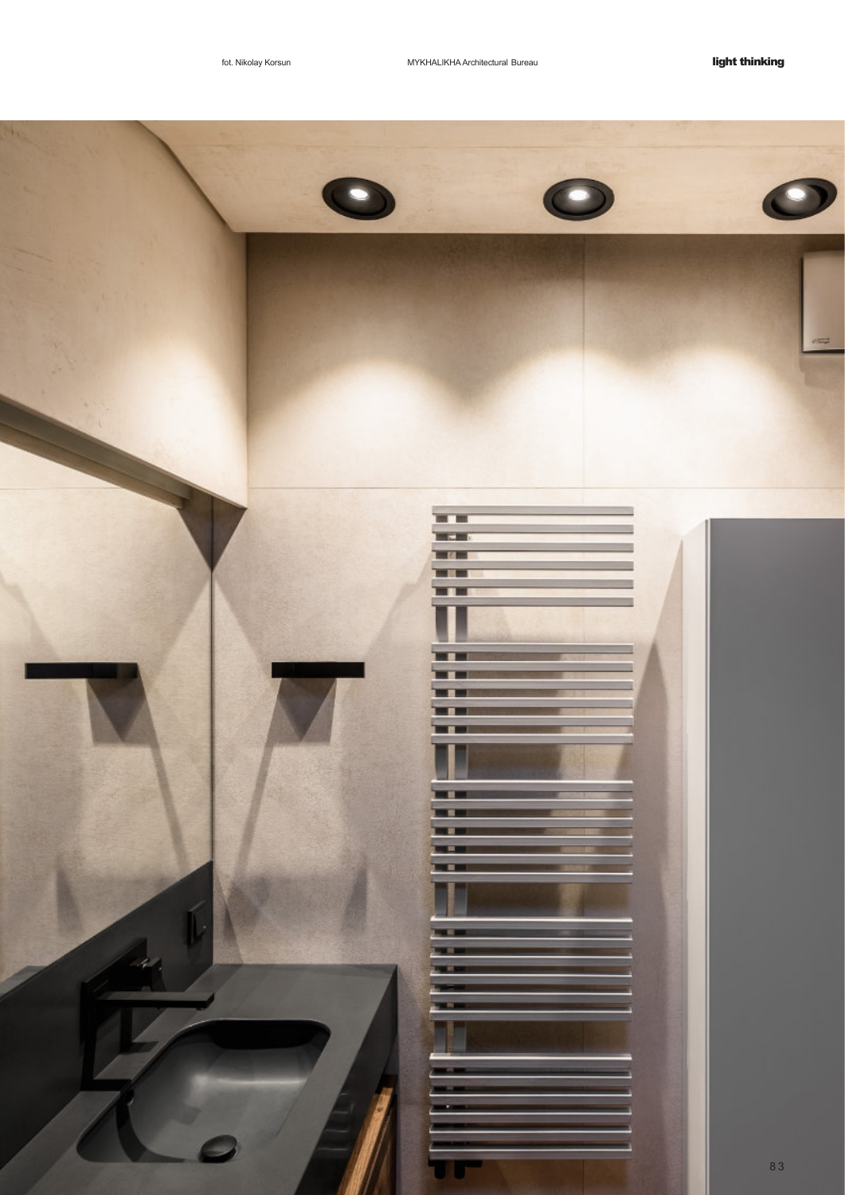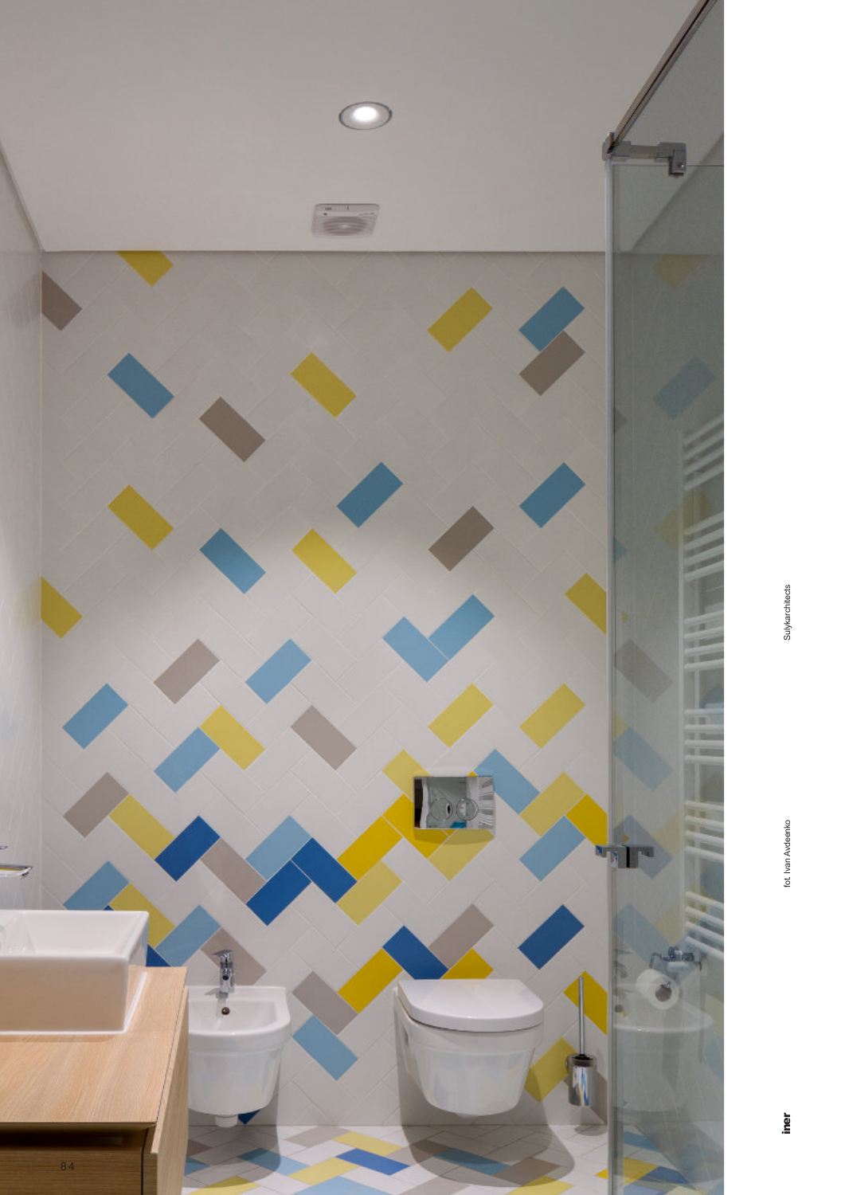

Sulykarchitects